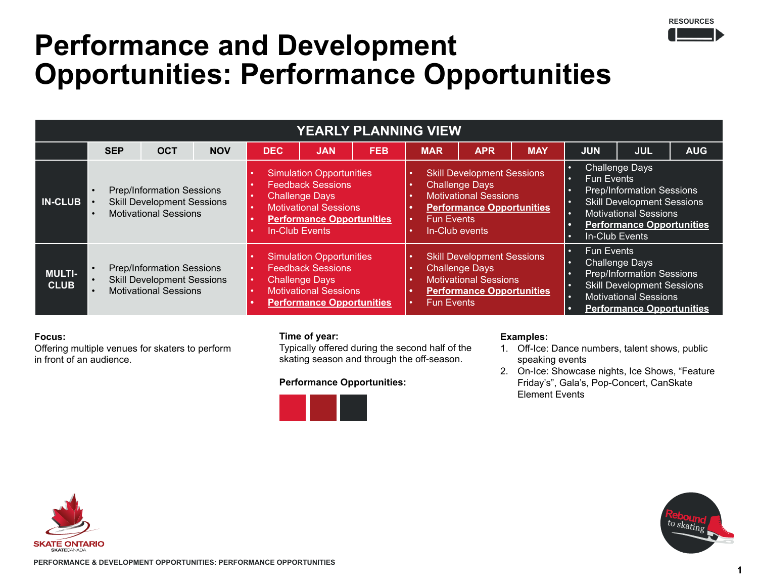

## **Performance and Development Opportunities: Performance Opportunities**

| <b>YEARLY PLANNING VIEW</b>  |                                                                                                                                       |            |            |                                                                                                                                                                            |            |            |                                                                                                                                                                       |            |            |                                                                                                                                                                                                                          |            |            |
|------------------------------|---------------------------------------------------------------------------------------------------------------------------------------|------------|------------|----------------------------------------------------------------------------------------------------------------------------------------------------------------------------|------------|------------|-----------------------------------------------------------------------------------------------------------------------------------------------------------------------|------------|------------|--------------------------------------------------------------------------------------------------------------------------------------------------------------------------------------------------------------------------|------------|------------|
|                              | <b>SEP</b>                                                                                                                            | <b>OCT</b> | <b>NOV</b> | <b>DEC</b>                                                                                                                                                                 | <b>JAN</b> | <b>FEB</b> | <b>MAR</b>                                                                                                                                                            | <b>APR</b> | <b>MAY</b> | <b>JUN</b>                                                                                                                                                                                                               | <b>JUL</b> | <b>AUG</b> |
| <b>N-CLUB</b>                | Prep/Information Sessions<br>$\bullet$<br><b>Skill Development Sessions</b><br>$\bullet$<br><b>Motivational Sessions</b><br>$\bullet$ |            |            | <b>Simulation Opportunities</b><br><b>Feedback Sessions</b><br><b>Challenge Days</b><br><b>Motivational Sessions</b><br><b>Performance Opportunities</b><br>In-Club Events |            |            | <b>Skill Development Sessions</b><br><b>Challenge Days</b><br><b>Motivational Sessions</b><br><b>Performance Opportunities</b><br><b>Fun Events</b><br>In-Club events |            |            | <b>Challenge Days</b><br>о<br><b>Fun Events</b><br>٠<br><b>Prep/Information Sessions</b><br><b>Skill Development Sessions</b><br><b>Motivational Sessions</b><br>۰<br><b>Performance Opportunities</b><br>In-Club Events |            |            |
| <b>MULTI-</b><br><b>CLUB</b> | <b>Prep/Information Sessions</b><br><b>Skill Development Sessions</b><br><b>Motivational Sessions</b>                                 |            |            | <b>Simulation Opportunities</b><br><b>Feedback Sessions</b><br><b>Challenge Days</b><br><b>Motivational Sessions</b><br><b>Performance Opportunities</b>                   |            |            | <b>Skill Development Sessions</b><br><b>Challenge Days</b><br><b>Motivational Sessions</b><br><b>Performance Opportunities</b><br><b>Fun Events</b>                   |            |            | <b>Fun Events</b><br>n<br><b>Challenge Days</b><br><b>Prep/Information Sessions</b><br><b>Skill Development Sessions</b><br><b>Motivational Sessions</b><br>o<br><b>Performance Opportunities</b>                        |            |            |

## **Focus:**

Offering multiple venues for skaters to perform in front of an audience.

#### **Time of year:**

Typically offered during the second half of the skating season and through the off-season.

#### **Performance Opportunities:**



## **Examples:**

- 1. Off-Ice: Dance numbers, talent shows, public speaking events
- 2. On-Ice: Showcase nights, Ice Shows, "Feature Friday's", Gala's, Pop-Concert, CanSkate Element Events



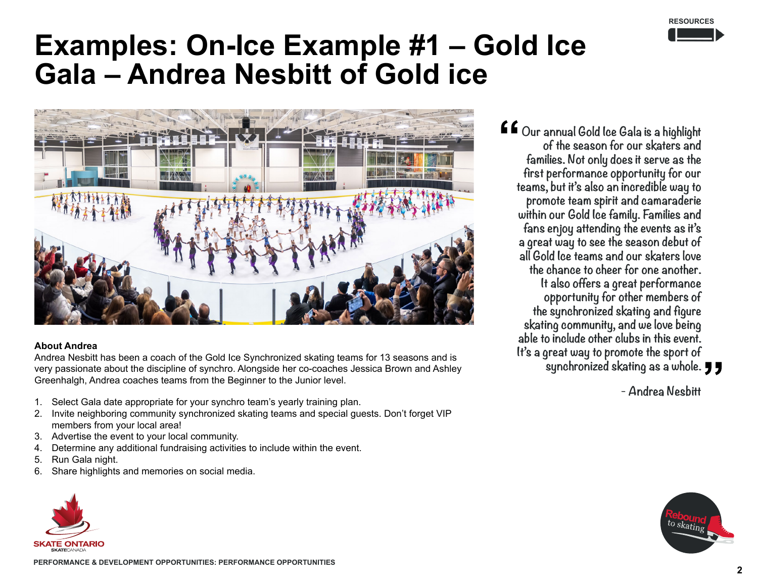

## **Examples: On-Ice Example #1 – Gold Ice Gala – Andrea Nesbitt of Gold ice**



#### **About Andrea**

Andrea Nesbitt has been a coach of the Gold Ice Synchronized skating teams for 13 seasons and is very passionate about the discipline of synchro. Alongside her co-coaches Jessica Brown and Ashley Greenhalgh, Andrea coaches teams from the Beginner to the Junior level.

- 1. Select Gala date appropriate for your synchro team's yearly training plan.
- 2. Invite neighboring community synchronized skating teams and special guests. Don't forget VIP members from your local area!
- 3. Advertise the event to your local community.
- 4. Determine any additional fundraising activities to include within the event.
- 5. Run Gala night.
- 6. Share highlights and memories on social media.



**Our annual Gold Ice Gala is a highlight of the season for our skaters and families. Not only does it serve as the first performance opportunity for our teams, but it's also an incredible way to promote team spirit and camaraderie within our Gold Ice family. Families and fans enjoy attending the events as it's a great way to see the season debut of all Gold Ice teams and our skaters love the chance to cheer for one another. It also offers a great performance opportunity for other members of the synchronized skating and figure skating community, and we love being able to include other clubs in this event. It's a great way to promote the sport of** 

**synchronized skating as a whole.**

**- Andrea Nesbitt**

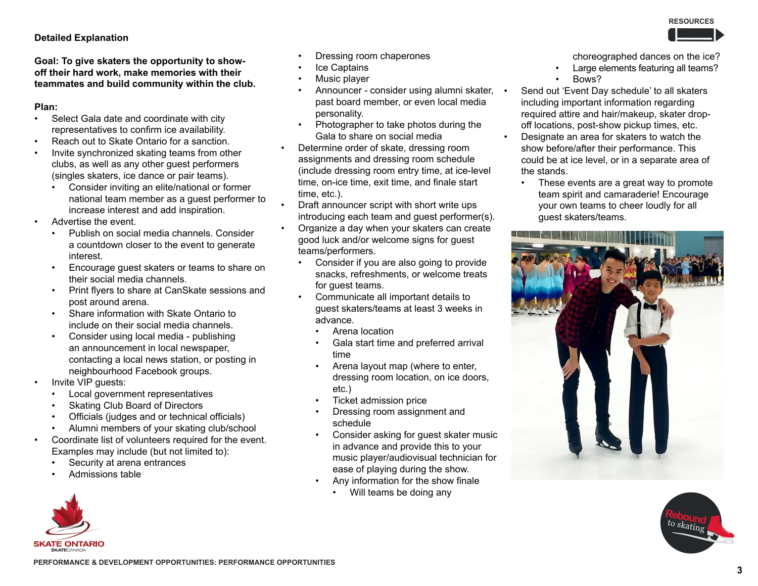## **Detailed Explanation**

**Goal: To give skaters the opportunity to showoff their hard work, make memories with their teammates and build community within the club.**

### **Plan:**

- Select Gala date and coordinate with city representatives to confirm ice availability.
- Reach out to Skate Ontario for a sanction.
- Invite synchronized skating teams from other clubs, as well as any other guest performers (singles skaters, ice dance or pair teams).
	- Consider inviting an elite/national or former national team member as a guest performer to increase interest and add inspiration.
- Advertise the event.
	- Publish on social media channels. Consider a countdown closer to the event to generate interest.
	- Encourage guest skaters or teams to share on their social media channels.
	- Print flyers to share at CanSkate sessions and post around arena.
	- Share information with Skate Ontario to include on their social media channels.
	- Consider using local media publishing an announcement in local newspaper, contacting a local news station, or posting in neighbourhood Facebook groups.
- Invite VIP guests:
	- Local government representatives
	- Skating Club Board of Directors
	- Officials (judges and or technical officials)
	- Alumni members of your skating club/school
- Coordinate list of volunteers required for the event. Examples may include (but not limited to):
	- Security at arena entrances
	- Admissions table



- Dressing room chaperones
- **Ice Captains**
- Music player
- Announcer consider using alumni skater, past board member, or even local media personality.
- Photographer to take photos during the Gala to share on social media
- Determine order of skate, dressing room assignments and dressing room schedule (include dressing room entry time, at ice-level time, on-ice time, exit time, and finale start time, etc.).
- Draft announcer script with short write ups introducing each team and guest performer(s).
- Organize a day when your skaters can create good luck and/or welcome signs for guest teams/performers.
	- Consider if you are also going to provide snacks, refreshments, or welcome treats for guest teams.
	- Communicate all important details to guest skaters/teams at least 3 weeks in advance.
		- Arena location
		- Gala start time and preferred arrival time
		- Arena layout map (where to enter, dressing room location, on ice doors, etc.)
		- Ticket admission price
		- Dressing room assignment and schedule
		- Consider asking for guest skater music in advance and provide this to your music player/audiovisual technician for ease of playing during the show.
		- Any information for the show finale
			- Will teams be doing any

choreographed dances on the ice?

- Large elements featuring all teams?
- Bows?
- Send out 'Event Day schedule' to all skaters including important information regarding required attire and hair/makeup, skater dropoff locations, post-show pickup times, etc.
- Designate an area for skaters to watch the show before/after their performance. This could be at ice level, or in a separate area of the stands.
	- These events are a great way to promote team spirit and camaraderie! Encourage your own teams to cheer loudly for all guest skaters/teams.



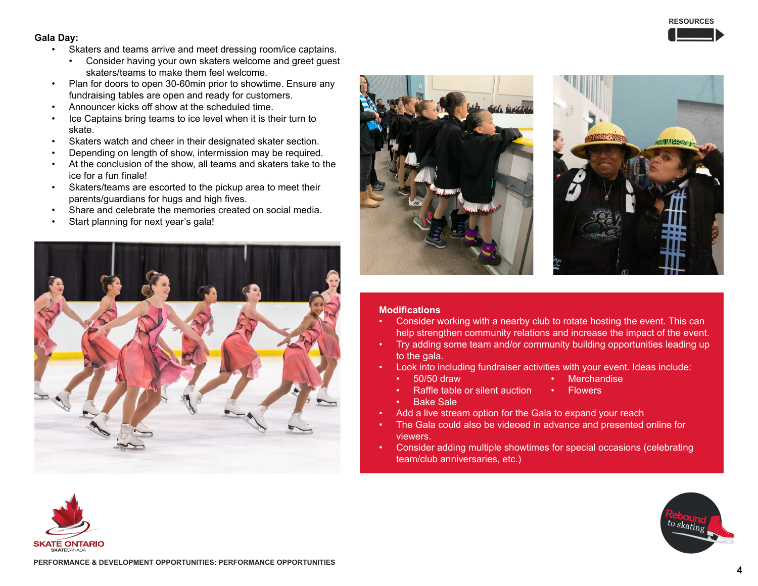#### **Gala Day:**

- Skaters and teams arrive and meet dressing room/ice captains.
	- Consider having your own skaters welcome and greet guest skaters/teams to make them feel welcome.
- Plan for doors to open 30-60min prior to showtime. Ensure any fundraising tables are open and ready for customers.
- Announcer kicks off show at the scheduled time.
- Ice Captains bring teams to ice level when it is their turn to skate.
- Skaters watch and cheer in their designated skater section.
- Depending on length of show, intermission may be required.
- At the conclusion of the show, all teams and skaters take to the ice for a fun finale!
- Skaters/teams are escorted to the pickup area to meet their parents/guardians for hugs and high fives.
- Share and celebrate the memories created on social media.
- Start planning for next year's gala!







#### **Modifications**

- Consider working with a nearby club to rotate hosting the event. This can help strengthen community relations and increase the impact of the event.
- Try adding some team and/or community building opportunities leading up to the gala.
- Look into including fundraiser activities with your event. Ideas include:
	- 50/50 draw
- **Merchandise**
- Raffle table or silent auction **Flowers**
- **Bake Sale**
- Add a live stream option for the Gala to expand your reach
- The Gala could also be videoed in advance and presented online for viewers.
- Consider adding multiple showtimes for special occasions (celebrating team/club anniversaries, etc.)